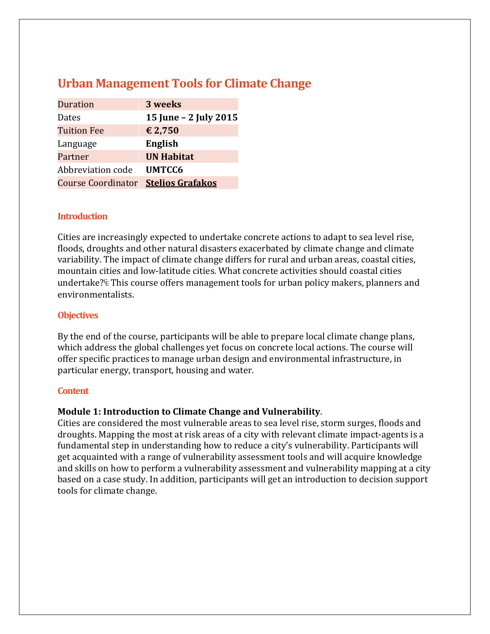# **Urban Management Tools for Climate Change**

| <b>Duration</b>           | 3 weeks                 |
|---------------------------|-------------------------|
| Dates                     | 15 June - 2 July 2015   |
| <b>Tuition Fee</b>        | € 2,750                 |
| Language                  | English                 |
| Partner                   | <b>UN Habitat</b>       |
| Abbreviation code         | <b>UMTCC6</b>           |
| <b>Course Coordinator</b> | <b>Stelios Grafakos</b> |

## **Introduction**

Cities are increasingly expected to undertake concrete actions to adapt to sea level rise, floods, droughts and other natural disasters exacerbated by climate change and climate variability. The impact of climate change differs for rural and urban areas, coastal cities, mountain cities and low‐latitude cities. What concrete activities should coastal cities undertake? EThis course offers management tools for urban policy makers, planners and environmentalists.

#### **Objectives**

By the end of the course, participants will be able to prepare local climate change plans, which address the global challenges yet focus on concrete local actions. The course will offer specific practices to manage urban design and environmental infrastructure, in particular energy, transport, housing and water.

#### **Content**

# **Module 1: Introduction to Climate Change and Vulnerability**.

Cities are considered the most vulnerable areas to sea level rise, storm surges, floods and droughts. Mapping the most at risk areas of a city with relevant climate impact‐agents is a fundamental step in understanding how to reduce a city's vulnerability. Participants will get acquainted with a range of vulnerability assessment tools and will acquire knowledge and skills on how to perform a vulnerability assessment and vulnerability mapping at a city based on a case study. In addition, participants will get an introduction to decision support tools for climate change.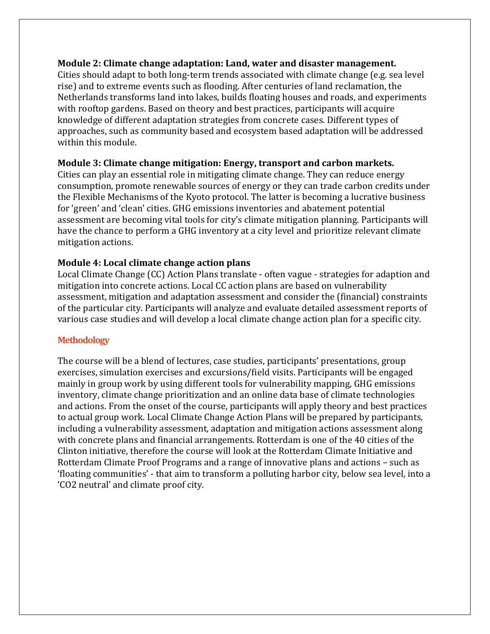## **Module 2: Climate change adaptation: Land, water and disaster management.**

Cities should adapt to both long‐term trends associated with climate change (e.g. sea level rise) and to extreme events such as flooding. After centuries of land reclamation, the Netherlands transforms land into lakes, builds floating houses and roads, and experiments with rooftop gardens. Based on theory and best practices, participants will acquire knowledge of different adaptation strategies from concrete cases. Different types of approaches, such as community based and ecosystem based adaptation will be addressed within this module.

## **Module 3: Climate change mitigation: Energy, transport and carbon markets.**

Cities can play an essential role in mitigating climate change. They can reduce energy consumption, promote renewable sources of energy or they can trade carbon credits under the Flexible Mechanisms of the Kyoto protocol. The latter is becoming a lucrative business for 'green' and 'clean' cities. GHG emissions inventories and abatement potential assessment are becoming vital tools for city's climate mitigation planning. Participants will have the chance to perform a GHG inventory at a city level and prioritize relevant climate mitigation actions.

# **Module 4: Local climate change action plans**

Local Climate Change (CC) Action Plans translate ‐ often vague ‐ strategies for adaption and mitigation into concrete actions. Local CC action plans are based on vulnerability assessment, mitigation and adaptation assessment and consider the (financial) constraints of the particular city. Participants will analyze and evaluate detailed assessment reports of various case studies and will develop a local climate change action plan for a specific city.

# **Methodology**

The course will be a blend of lectures, case studies, participants' presentations, group exercises, simulation exercises and excursions/field visits. Participants will be engaged mainly in group work by using different tools for vulnerability mapping, GHG emissions inventory, climate change prioritization and an online data base of climate technologies and actions. From the onset of the course, participants will apply theory and best practices to actual group work. Local Climate Change Action Plans will be prepared by participants, including a vulnerability assessment, adaptation and mitigation actions assessment along with concrete plans and financial arrangements. Rotterdam is one of the 40 cities of the Clinton initiative, therefore the course will look at the Rotterdam Climate Initiative and Rotterdam Climate Proof Programs and a range of innovative plans and actions – such as 'floating communities' ‐ that aim to transform a polluting harbor city, below sea level, into a 'CO2 neutral' and climate proof city.